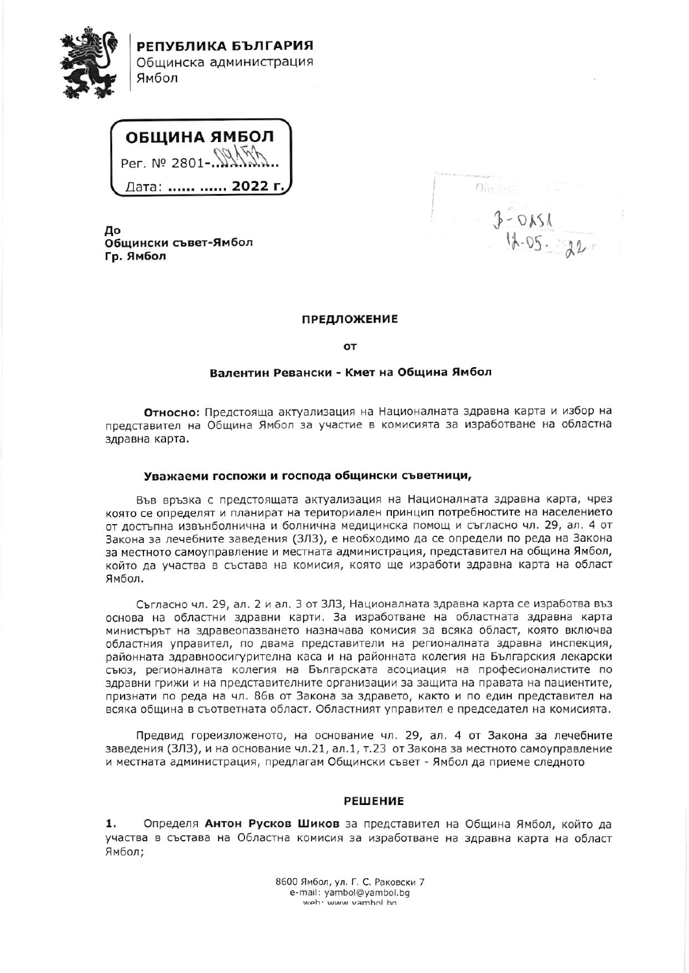

ОБЩИНА ЯМБОЛ Per. Nº 2801- $\sqrt{2}$ Дата: ...... ...... **2022 г.** 

До Общински съвет-Ямбол Гр. Ямбол

 $O(n+1)$ 

## **ПРЕДЛОЖЕНИЕ**

OT

## Валентин Ревански - Кмет на Община Ямбол

Относно: Предстояща актуализация на Националната здравна карта и избор на представител на Община Ямбол за участие в комисията за изработване на областна здравна карта.

## Уважаеми госпожи и господа общински съветници,

Във връзка с предстоящата актуализация на Националната здравна карта, чрез която се определят и планират на териториален принцип потребностите на населението от достъпна извънболнична и болнична медицинска помощ и съгласно чл. 29, ал. 4 от Закона за лечебните заведения (ЗЛЗ), е необходимо да се определи по реда на Закона за местното самоуправление и местната администрация, представител на община Ямбол, който да участва в състава на комисия, която ще изработи здравна карта на област Ямбол.

Съгласно чл. 29, ал. 2 и ал. 3 от ЗЛЗ, Националната здравна карта се изработва въз основа на областни здравни карти. За изработване на областната здравна карта министърът на здравеопазването назначава комисия за всяка област, която включва областния управител, по двама представители на регионалната здравна инспекция, районната здравноосигурителна каса и на районната колегия на Българския лекарски съюз, регионалната колегия на Българската асоциация на професионалистите по здравни грижи и на представителните организации за защита на правата на пациентите, признати по реда на чл. 86в от Закона за здравето, както и по един представител на всяка община в съответната област. Областният управител е председател на комисията.

Предвид гореизложеното, на основание чл. 29, ал. 4 от Закона за лечебните заведения (ЗЛЗ), и на основание чл.21, ал.1, т.23 от Закона за местното самоуправление и местната администрация, предлагам Общински съвет - Ямбол да приеме следното

## **РЕШЕНИЕ**

1. Определя Антон Русков Шиков за представител на Община Ямбол, който да участва в състава на Областна комисия за изработване на здравна карта на област Ямбол;

> 8600 Ямбол, ул. Г. С. Раковски 7 e-mail: yambol@yambol.bg weh: www.vamhol.ho